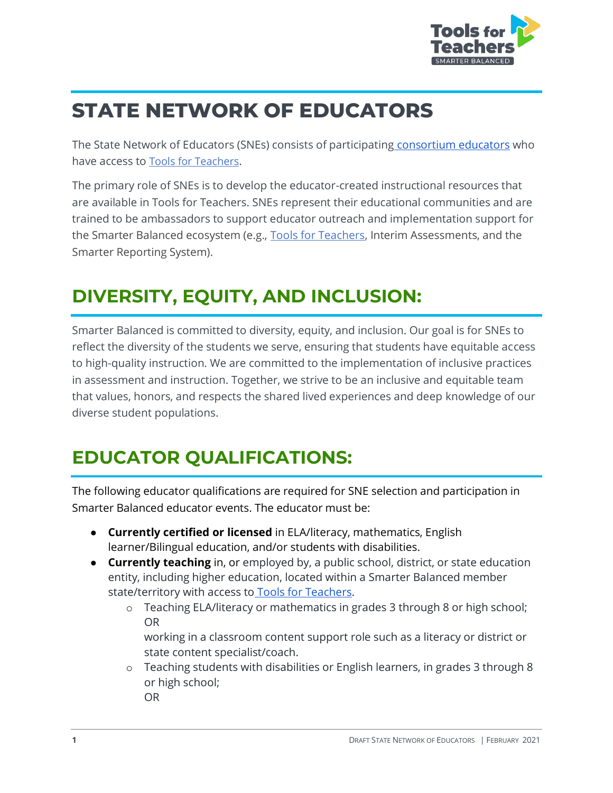

# **STATE NETWORK OF EDUCATORS**

The State Network of Educators (SNEs) consists of participating [consortium educators](https://smarterbalanced.org/our-vision/partnerships/) who have access to [Tools for Teachers](https://smartertoolsforteachers.org/).

The primary role of SNEs is to develop the educator-created instructional resources that are available in Tools for Teachers. SNEs represent their educational communities and are trained to be ambassadors to support educator outreach and implementation support for the Smarter Balanced ecosystem (e.g., [Tools for Teachers,](https://smartertoolsforteachers.org/) Interim Assessments, and the Smarter Reporting System).

#### **DIVERSITY, EQUITY, AND INCLUSION:**

Smarter Balanced is committed to diversity, equity, and inclusion. Our goal is for SNEs to reflect the diversity of the students we serve, ensuring that students have equitable access to high-quality instruction. We are committed to the implementation of inclusive practices in assessment and instruction. Together, we strive to be an inclusive and equitable team that values, honors, and respects the shared lived experiences and deep knowledge of our diverse student populations.

# **EDUCATOR QUALIFICATIONS:**

The following educator qualifications are required for SNE selection and participation in Smarter Balanced educator events. The educator must be:

- **Currently certified or licensed** in ELA/literacy, mathematics, English learner/Bilingual education, and/or students with disabilities.
- **Currently teaching** in, or employed by, a public school, district, or state education entity, including higher education, located within a Smarter Balanced member state/territory with access to [Tools for Teachers.](https://smartertoolsforteachers.org/)
	- o Teaching ELA/literacy or mathematics in grades 3 through 8 or high school; OR

working in a classroom content support role such as a literacy or district or state content specialist/coach.

o Teaching students with disabilities or English learners, in grades 3 through 8 or high school; OR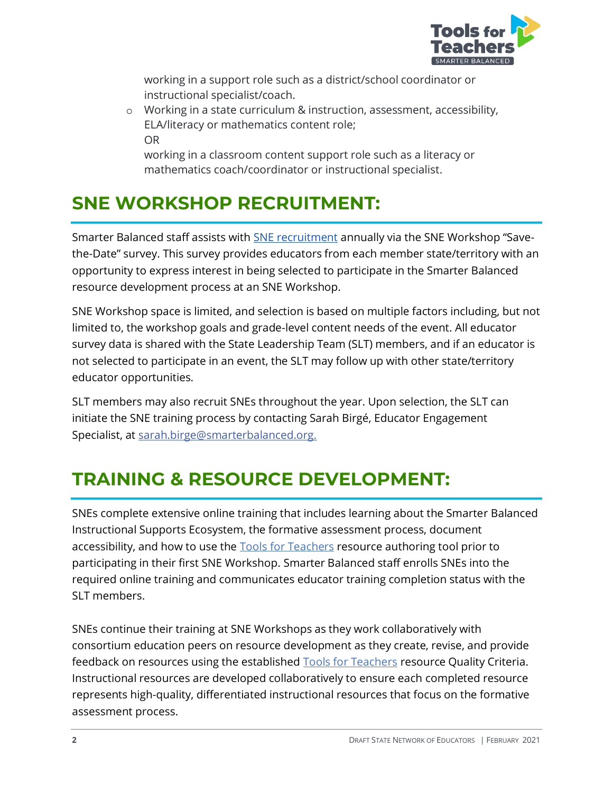

working in a support role such as a district/school coordinator or instructional specialist/coach.

o Working in a state curriculum & instruction, assessment, accessibility, ELA/literacy or mathematics content role; OR

working in a classroom content support role such as a literacy or mathematics coach/coordinator or instructional specialist.

## **SNE WORKSHOP RECRUITMENT:**

Smarter Balanced staff assists with [SNE recruitment](https://sne.smarterbalanced.org/) annually via the SNE Workshop "Savethe-Date" survey. This survey provides educators from each member state/territory with an opportunity to express interest in being selected to participate in the Smarter Balanced resource development process at an SNE Workshop.

SNE Workshop space is limited, and selection is based on multiple factors including, but not limited to, the workshop goals and grade-level content needs of the event. All educator survey data is shared with the State Leadership Team (SLT) members, and if an educator is not selected to participate in an event, the SLT may follow up with other state/territory educator opportunities.

SLT members may also recruit SNEs throughout the year. Upon selection, the SLT can initiate the SNE training process by contacting Sarah Birgé, Educator Engagement Specialist, at [sarah.birge@smarterbalanced.org.](mailto:sarah.birge@smarterbalanced.org)

### **TRAINING & RESOURCE DEVELOPMENT:**

SNEs complete extensive online training that includes learning about the Smarter Balanced Instructional Supports Ecosystem, the formative assessment process, document accessibility, and how to use the [Tools for Teachers](https://smartertoolsforteachers.org/) resource authoring tool prior to participating in their first SNE Workshop. Smarter Balanced staff enrolls SNEs into the required online training and communicates educator training completion status with the SLT members.

SNEs continue their training at SNE Workshops as they work collaboratively with consortium education peers on resource development as they create, revise, and provide feedback on resources using the established [Tools for Teachers](https://smartertoolsforteachers.org/) resource Quality Criteria. Instructional resources are developed collaboratively to ensure each completed resource represents high-quality, differentiated instructional resources that focus on the formative assessment process.